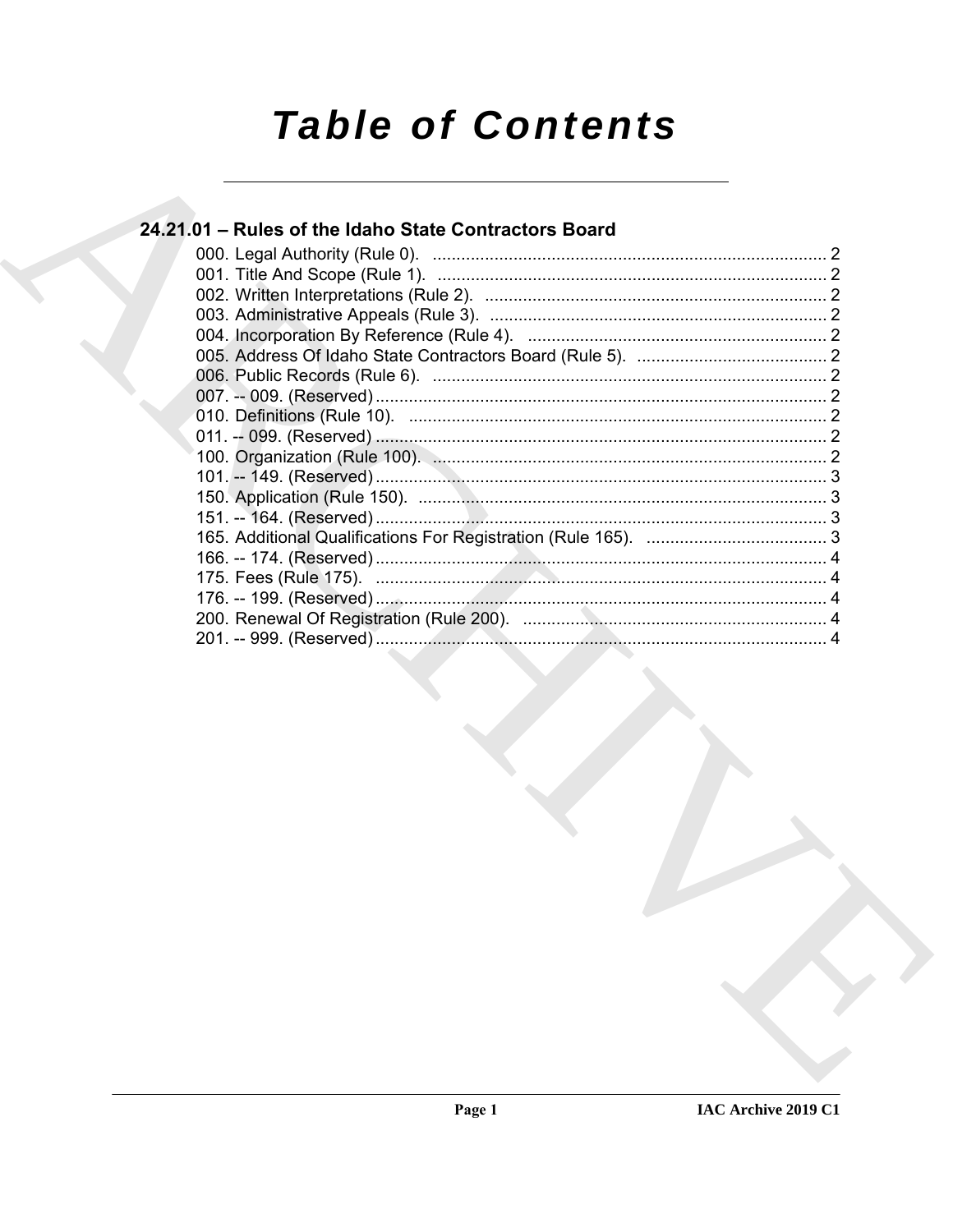# **Table of Contents**

# 24.21.01 - Rules of the Idaho State Contractors Board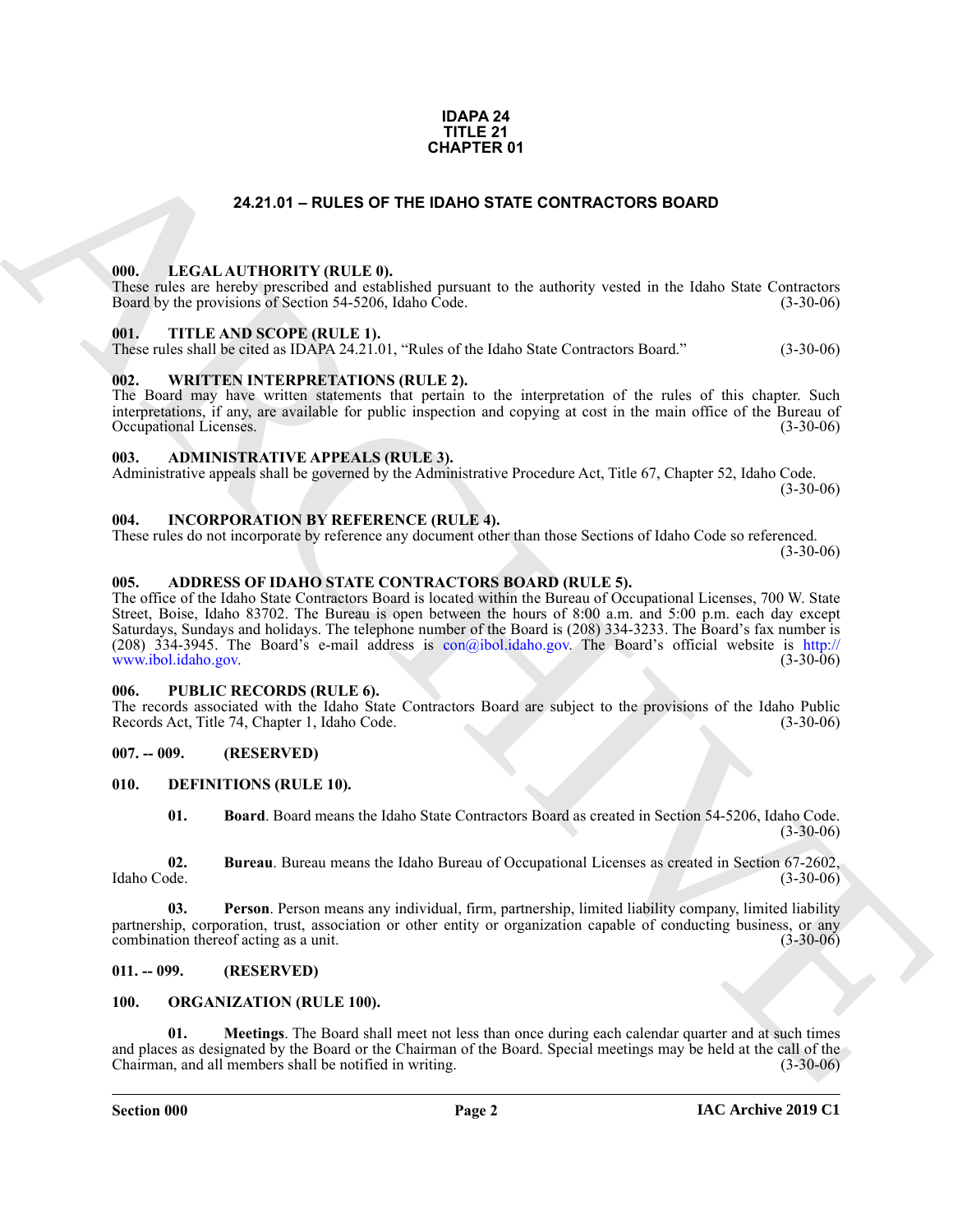#### **IDAPA 24 TITLE 21 CHAPTER 01**

#### **24.21.01 – RULES OF THE IDAHO STATE CONTRACTORS BOARD**

#### <span id="page-1-19"></span><span id="page-1-1"></span><span id="page-1-0"></span>**000. LEGAL AUTHORITY (RULE 0).**

These rules are hereby prescribed and established pursuant to the authority vested in the Idaho State Contractors Board by the provisions of Section 54-5206, Idaho Code. (3-30-06)

#### <span id="page-1-23"></span><span id="page-1-2"></span>**001. TITLE AND SCOPE (RULE 1).**

These rules shall be cited as IDAPA 24.21.01, "Rules of the Idaho State Contractors Board." (3-30-06)

#### <span id="page-1-24"></span><span id="page-1-3"></span>**002. WRITTEN INTERPRETATIONS (RULE 2).**

The Board may have written statements that pertain to the interpretation of the rules of this chapter. Such interpretations, if any, are available for public inspection and copying at cost in the main office of the Bureau of Occupational Licenses. (3-30-06) Occupational Licenses.

#### <span id="page-1-13"></span><span id="page-1-4"></span>**003. ADMINISTRATIVE APPEALS (RULE 3).**

Administrative appeals shall be governed by the Administrative Procedure Act, Title 67, Chapter 52, Idaho Code. (3-30-06)

#### <span id="page-1-18"></span><span id="page-1-5"></span>**004. INCORPORATION BY REFERENCE (RULE 4).**

These rules do not incorporate by reference any document other than those Sections of Idaho Code so referenced. (3-30-06)

#### <span id="page-1-12"></span><span id="page-1-6"></span>**005. ADDRESS OF IDAHO STATE CONTRACTORS BOARD (RULE 5).**

**[CH](mailto:con@ibol.idaho.gov)APTER 01**<br>
24.21.01 – RULES OF THE DAND STATE CONTRACTORS BOARD<br>
1990. LECAL ALTITIONITY (RULE B)<br>
1990. LECAL ALTITIONITY (RULE B)<br>
1990. THE ANS SCOPE RELEAT.<br>
1991. THE ANS SCOPE RELEAT.<br>
1991. THE ANS SCOPE RELEAT. The office of the Idaho State Contractors Board is located within the Bureau of Occupational Licenses, 700 W. State Street, Boise, Idaho 83702. The Bureau is open between the hours of 8:00 a.m. and 5:00 p.m. each day except Saturdays, Sundays and holidays. The telephone number of the Board is (208) 334-3233. The Board's fax number is (208) 334-3945. The Board's e-mail address is con@ibol.idaho.gov. The Board's official website is http:// www.ibol.idaho.gov. (3-30-06)

#### <span id="page-1-22"></span><span id="page-1-7"></span>**006. PUBLIC RECORDS (RULE 6).**

The records associated with the Idaho State Contractors Board are subject to the provisions of the Idaho Public Records Act, Title 74, Chapter 1, Idaho Code. (3-30-06)

#### <span id="page-1-8"></span>**007. -- 009. (RESERVED)**

#### <span id="page-1-9"></span>**010. DEFINITIONS (RULE 10).**

<span id="page-1-17"></span><span id="page-1-16"></span><span id="page-1-15"></span><span id="page-1-14"></span>**01. Board**. Board means the Idaho State Contractors Board as created in Section 54-5206, Idaho Code.  $(3-30-06)$ 

**02. Bureau**. Bureau means the Idaho Bureau of Occupational Licenses as created in Section 67-2602, Idaho Code. (3-30-06)

**03. Person**. Person means any individual, firm, partnership, limited liability company, limited liability partnership, corporation, trust, association or other entity or organization capable of conducting business, or any combination thereof acting as a unit. (3-30-06) combination thereof acting as a unit.

#### <span id="page-1-10"></span>**011. -- 099. (RESERVED)**

#### <span id="page-1-21"></span><span id="page-1-20"></span><span id="page-1-11"></span>**100. ORGANIZATION (RULE 100).**

**01. Meetings**. The Board shall meet not less than once during each calendar quarter and at such times and places as designated by the Board or the Chairman of the Board. Special meetings may be held at the call of the Chairman, and all members shall be notified in writing. Chairman, and all members shall be notified in writing.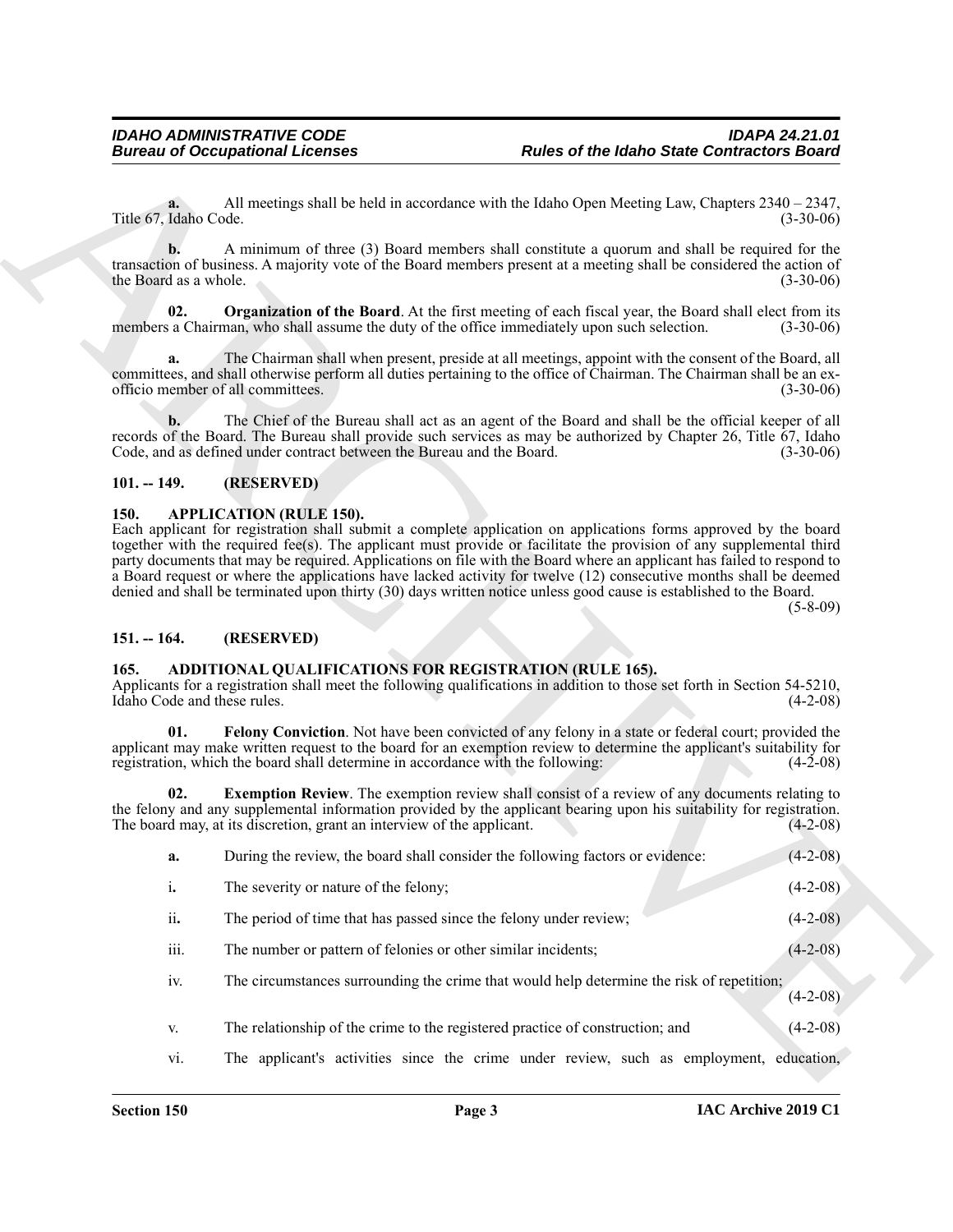#### <span id="page-2-8"></span><span id="page-2-0"></span>**101. -- 149. (RESERVED)**

#### <span id="page-2-7"></span><span id="page-2-1"></span>**150. APPLICATION (RULE 150).**

#### <span id="page-2-2"></span>**151. -- 164. (RESERVED)**

#### <span id="page-2-6"></span><span id="page-2-5"></span><span id="page-2-4"></span><span id="page-2-3"></span>**165. ADDITIONAL QUALIFICATIONS FOR REGISTRATION (RULE 165).**

|                                     | <b>Bureau of Occupational Licenses</b>                                                       | <b>Rules of the Idaho State Contractors Board</b>                                                                                                                                                                                                                                                                                                                                                                                                                                                                                                                                                          |                                                                                                                            |
|-------------------------------------|----------------------------------------------------------------------------------------------|------------------------------------------------------------------------------------------------------------------------------------------------------------------------------------------------------------------------------------------------------------------------------------------------------------------------------------------------------------------------------------------------------------------------------------------------------------------------------------------------------------------------------------------------------------------------------------------------------------|----------------------------------------------------------------------------------------------------------------------------|
| a.<br>Title 67, Idaho Code.         |                                                                                              | All meetings shall be held in accordance with the Idaho Open Meeting Law, Chapters $2340 - 2347$ ,                                                                                                                                                                                                                                                                                                                                                                                                                                                                                                         | $(3-30-06)$                                                                                                                |
| b.<br>the Board as a whole.         |                                                                                              | A minimum of three (3) Board members shall constitute a quorum and shall be required for the<br>transaction of business. A majority vote of the Board members present at a meeting shall be considered the action of                                                                                                                                                                                                                                                                                                                                                                                       | $(3-30-06)$                                                                                                                |
| 02.                                 | members a Chairman, who shall assume the duty of the office immediately upon such selection. | <b>Organization of the Board.</b> At the first meeting of each fiscal year, the Board shall elect from its                                                                                                                                                                                                                                                                                                                                                                                                                                                                                                 | $(3-30-06)$                                                                                                                |
| a.                                  | officio member of all committees.                                                            | The Chairman shall when present, preside at all meetings, appoint with the consent of the Board, all<br>committees, and shall otherwise perform all duties pertaining to the office of Chairman. The Chairman shall be an ex-                                                                                                                                                                                                                                                                                                                                                                              | $(3-30-06)$                                                                                                                |
| b.                                  | Code, and as defined under contract between the Bureau and the Board.                        | The Chief of the Bureau shall act as an agent of the Board and shall be the official keeper of all<br>records of the Board. The Bureau shall provide such services as may be authorized by Chapter 26, Title 67, Idaho                                                                                                                                                                                                                                                                                                                                                                                     | $(3-30-06)$                                                                                                                |
| $101. - 149.$                       | (RESERVED)                                                                                   |                                                                                                                                                                                                                                                                                                                                                                                                                                                                                                                                                                                                            |                                                                                                                            |
|                                     |                                                                                              | Each applicant for registration shall submit a complete application on applications forms approved by the board<br>together with the required fee(s). The applicant must provide or facilitate the provision of any supplemental third<br>party documents that may be required. Applications on file with the Board where an applicant has failed to respond to<br>a Board request or where the applications have lacked activity for twelve (12) consecutive months shall be deemed<br>denied and shall be terminated upon thirty (30) days written notice unless good cause is established to the Board. | $(5-8-09)$                                                                                                                 |
| $151. - 164.$                       | (RESERVED)                                                                                   |                                                                                                                                                                                                                                                                                                                                                                                                                                                                                                                                                                                                            |                                                                                                                            |
| 165.<br>Idaho Code and these rules. | ADDITIONAL QUALIFICATIONS FOR REGISTRATION (RULE 165).                                       | Applicants for a registration shall meet the following qualifications in addition to those set forth in Section 54-5210,                                                                                                                                                                                                                                                                                                                                                                                                                                                                                   |                                                                                                                            |
| 01.                                 | registration, which the board shall determine in accordance with the following:              | Felony Conviction. Not have been convicted of any felony in a state or federal court; provided the<br>applicant may make written request to the board for an exemption review to determine the applicant's suitability for                                                                                                                                                                                                                                                                                                                                                                                 |                                                                                                                            |
| 02.                                 | The board may, at its discretion, grant an interview of the applicant.                       | <b>Exemption Review.</b> The exemption review shall consist of a review of any documents relating to<br>the felony and any supplemental information provided by the applicant bearing upon his suitability for registration.                                                                                                                                                                                                                                                                                                                                                                               |                                                                                                                            |
| a.                                  | During the review, the board shall consider the following factors or evidence:               |                                                                                                                                                                                                                                                                                                                                                                                                                                                                                                                                                                                                            |                                                                                                                            |
| i.                                  | The severity or nature of the felony;                                                        |                                                                                                                                                                                                                                                                                                                                                                                                                                                                                                                                                                                                            |                                                                                                                            |
| ii.                                 | The period of time that has passed since the felony under review;                            |                                                                                                                                                                                                                                                                                                                                                                                                                                                                                                                                                                                                            |                                                                                                                            |
| iii.                                | The number or pattern of felonies or other similar incidents;                                |                                                                                                                                                                                                                                                                                                                                                                                                                                                                                                                                                                                                            |                                                                                                                            |
| iv.                                 |                                                                                              | The circumstances surrounding the crime that would help determine the risk of repetition;                                                                                                                                                                                                                                                                                                                                                                                                                                                                                                                  |                                                                                                                            |
| V.                                  | The relationship of the crime to the registered practice of construction; and                |                                                                                                                                                                                                                                                                                                                                                                                                                                                                                                                                                                                                            | $(4-2-08)$<br>$(4-2-08)$<br>$(4-2-08)$<br>$(4-2-08)$<br>$(4-2-08)$<br>$(4-2-08)$<br>$(4-2-08)$<br>$(4-2-08)$<br>$(4-2-08)$ |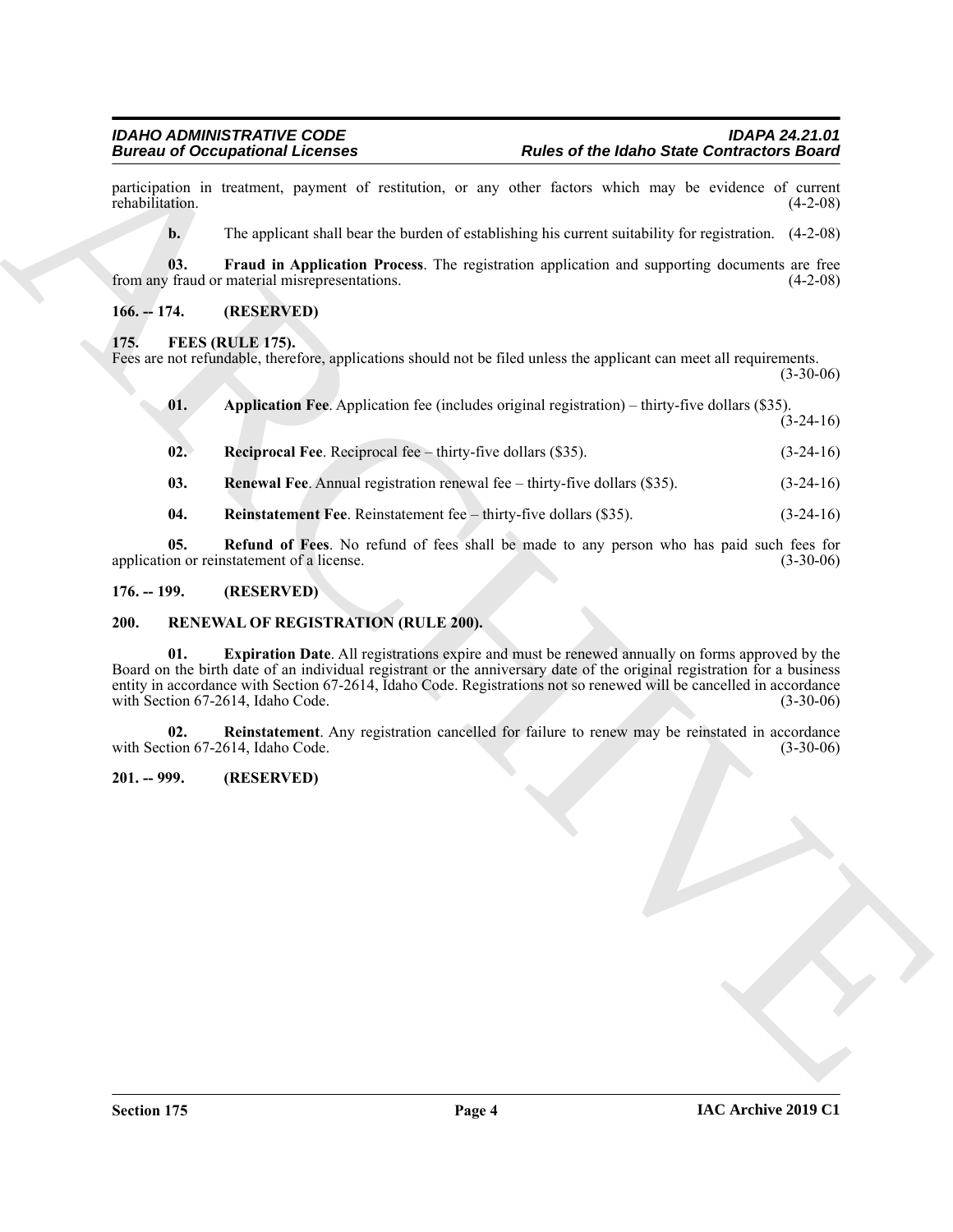#### <span id="page-3-6"></span><span id="page-3-5"></span><span id="page-3-1"></span><span id="page-3-0"></span>**175. FEES (RULE 175).**

|                 | <b>Bureau of Occupational Licenses</b>                                                                                                                                                                                                                                                                                                                                                 | <b>Rules of the Idaho State Contractors Board</b> |  |
|-----------------|----------------------------------------------------------------------------------------------------------------------------------------------------------------------------------------------------------------------------------------------------------------------------------------------------------------------------------------------------------------------------------------|---------------------------------------------------|--|
| rehabilitation. | participation in treatment, payment of restitution, or any other factors which may be evidence of current                                                                                                                                                                                                                                                                              | $(4-2-08)$                                        |  |
| $\mathbf{b}$ .  | The applicant shall bear the burden of establishing his current suitability for registration. (4-2-08)                                                                                                                                                                                                                                                                                 |                                                   |  |
| 03.             | Fraud in Application Process. The registration application and supporting documents are free<br>from any fraud or material misrepresentations.                                                                                                                                                                                                                                         | $(4-2-08)$                                        |  |
| $166. - 174.$   | (RESERVED)                                                                                                                                                                                                                                                                                                                                                                             |                                                   |  |
| 175.            | FEES (RULE 175).<br>Fees are not refundable, therefore, applications should not be filed unless the applicant can meet all requirements.                                                                                                                                                                                                                                               | $(3-30-06)$                                       |  |
| 01.             | Application Fee. Application fee (includes original registration) – thirty-five dollars (\$35).                                                                                                                                                                                                                                                                                        | $(3-24-16)$                                       |  |
| 02.             | <b>Reciprocal Fee.</b> Reciprocal fee $-$ thirty-five dollars $(\$35)$ .                                                                                                                                                                                                                                                                                                               | $(3-24-16)$                                       |  |
| 03.             | Renewal Fee. Annual registration renewal fee – thirty-five dollars (\$35).                                                                                                                                                                                                                                                                                                             | $(3-24-16)$                                       |  |
| 04.             | Reinstatement Fee. Reinstatement fee – thirty-five dollars (\$35).                                                                                                                                                                                                                                                                                                                     | $(3-24-16)$                                       |  |
| 05.             | Refund of Fees. No refund of fees shall be made to any person who has paid such fees for<br>application or reinstatement of a license.                                                                                                                                                                                                                                                 | $(3-30-06)$                                       |  |
| $176. - 199.$   | (RESERVED)                                                                                                                                                                                                                                                                                                                                                                             |                                                   |  |
| <b>200.</b>     | RENEWAL OF REGISTRATION (RULE 200).                                                                                                                                                                                                                                                                                                                                                    |                                                   |  |
| 01.             | Expiration Date. All registrations expire and must be renewed annually on forms approved by the<br>Board on the birth date of an individual registrant or the anniversary date of the original registration for a business<br>entity in accordance with Section 67-2614, Idaho Code. Registrations not so renewed will be cancelled in accordance<br>with Section 67-2614, Idaho Code. | $(3-30-06)$                                       |  |
| 02.             | Reinstatement. Any registration cancelled for failure to renew may be reinstated in accordance<br>with Section 67-2614, Idaho Code.                                                                                                                                                                                                                                                    | $(3-30-06)$                                       |  |
| $201. - 999.$   | (RESERVED)                                                                                                                                                                                                                                                                                                                                                                             |                                                   |  |
|                 |                                                                                                                                                                                                                                                                                                                                                                                        |                                                   |  |
|                 |                                                                                                                                                                                                                                                                                                                                                                                        |                                                   |  |
|                 |                                                                                                                                                                                                                                                                                                                                                                                        |                                                   |  |

- <span id="page-3-11"></span><span id="page-3-8"></span><span id="page-3-7"></span>**03. Renewal Fee**. Annual registration renewal fee – thirty-five dollars (\$35). (3-24-16)
- <span id="page-3-10"></span><span id="page-3-9"></span>**04.** Reinstatement Fee. Reinstatement fee – thirty-five dollars (\$35). (3-24-16)

#### <span id="page-3-2"></span>**176. -- 199. (RESERVED)**

#### <span id="page-3-13"></span><span id="page-3-12"></span><span id="page-3-3"></span>**200. RENEWAL OF REGISTRATION (RULE 200).**

#### <span id="page-3-14"></span><span id="page-3-4"></span>**201. -- 999. (RESERVED)**